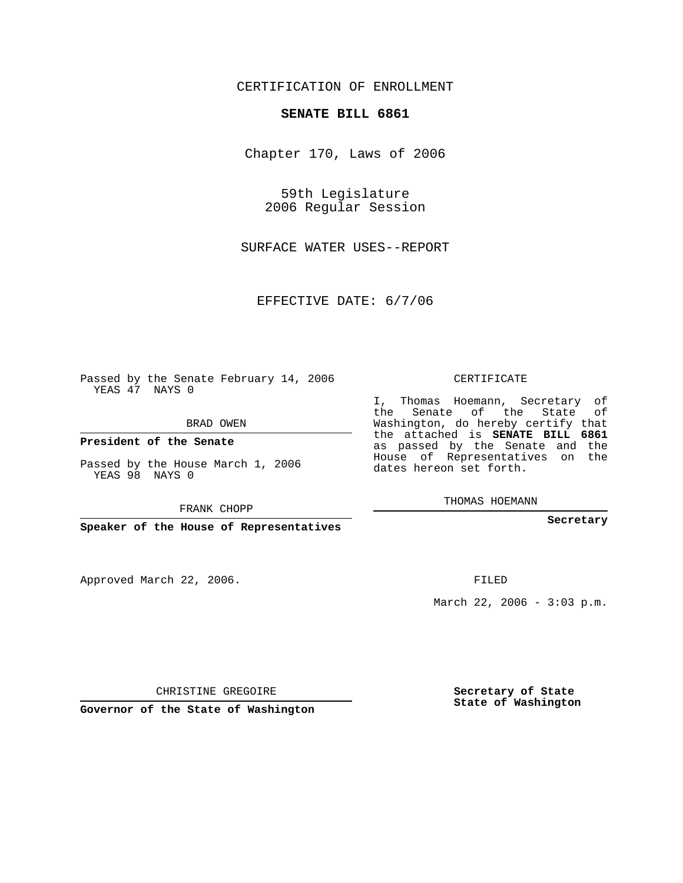## CERTIFICATION OF ENROLLMENT

## **SENATE BILL 6861**

Chapter 170, Laws of 2006

59th Legislature 2006 Regular Session

SURFACE WATER USES--REPORT

EFFECTIVE DATE: 6/7/06

Passed by the Senate February 14, 2006 YEAS 47 NAYS 0

BRAD OWEN

**President of the Senate**

Passed by the House March 1, 2006 YEAS 98 NAYS 0

FRANK CHOPP

**Speaker of the House of Representatives**

Approved March 22, 2006.

CERTIFICATE

I, Thomas Hoemann, Secretary of the Senate of the State of Washington, do hereby certify that the attached is **SENATE BILL 6861** as passed by the Senate and the House of Representatives on the dates hereon set forth.

THOMAS HOEMANN

**Secretary**

FILED

March 22, 2006 - 3:03 p.m.

CHRISTINE GREGOIRE

**Governor of the State of Washington**

**Secretary of State State of Washington**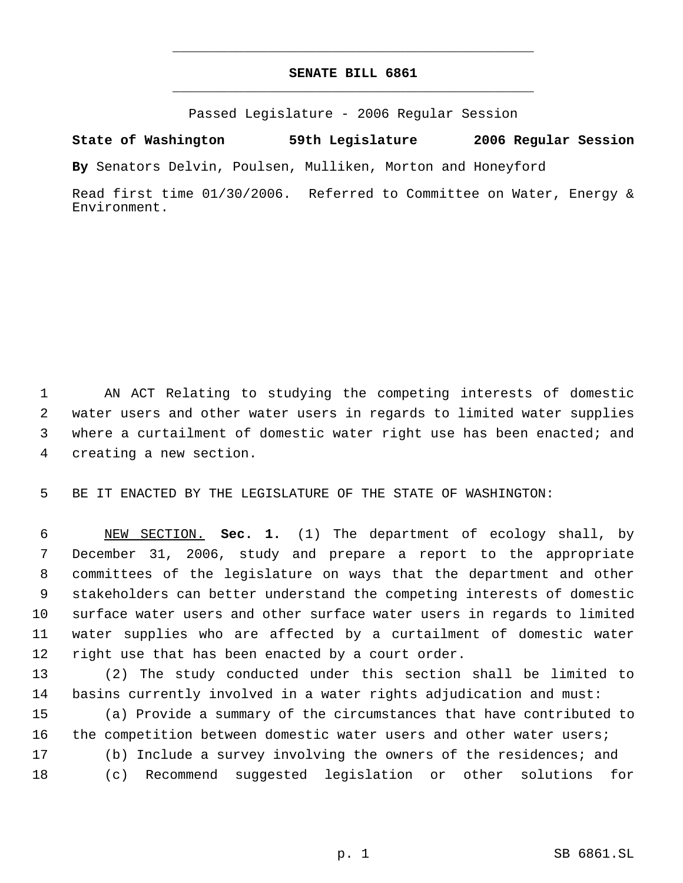## **SENATE BILL 6861** \_\_\_\_\_\_\_\_\_\_\_\_\_\_\_\_\_\_\_\_\_\_\_\_\_\_\_\_\_\_\_\_\_\_\_\_\_\_\_\_\_\_\_\_\_

\_\_\_\_\_\_\_\_\_\_\_\_\_\_\_\_\_\_\_\_\_\_\_\_\_\_\_\_\_\_\_\_\_\_\_\_\_\_\_\_\_\_\_\_\_

Passed Legislature - 2006 Regular Session

**State of Washington 59th Legislature 2006 Regular Session**

**By** Senators Delvin, Poulsen, Mulliken, Morton and Honeyford

Read first time 01/30/2006. Referred to Committee on Water, Energy & Environment.

 AN ACT Relating to studying the competing interests of domestic water users and other water users in regards to limited water supplies where a curtailment of domestic water right use has been enacted; and creating a new section.

BE IT ENACTED BY THE LEGISLATURE OF THE STATE OF WASHINGTON:

 NEW SECTION. **Sec. 1.** (1) The department of ecology shall, by December 31, 2006, study and prepare a report to the appropriate committees of the legislature on ways that the department and other stakeholders can better understand the competing interests of domestic surface water users and other surface water users in regards to limited water supplies who are affected by a curtailment of domestic water right use that has been enacted by a court order.

 (2) The study conducted under this section shall be limited to basins currently involved in a water rights adjudication and must:

 (a) Provide a summary of the circumstances that have contributed to 16 the competition between domestic water users and other water users; (b) Include a survey involving the owners of the residences; and (c) Recommend suggested legislation or other solutions for